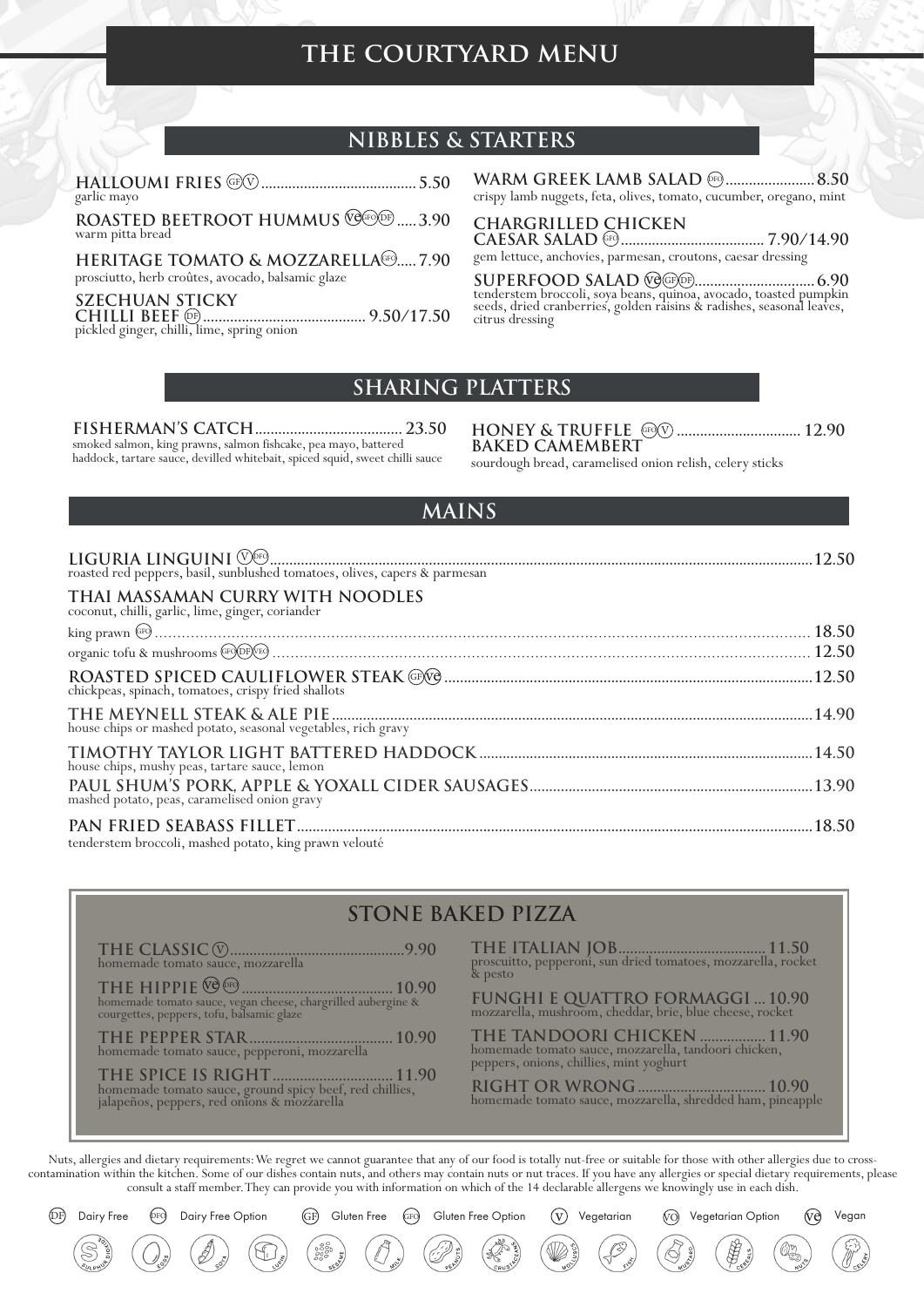# THE COURTYARD MENU

## **NIBBLES & STARTERS**

garlic mayo

ROASTED BEETROOT HUMMUS VOLTOD: ..... 3.90 warm pitta bread

HERITAGE TOMATO & MOZZARELLAGEO..... 7.90 prosciutto, herb croûtes, avocado, balsamic glaze

**SZECHUAN STICKY** pickled ginger, chilli, lime, spring onion

**WARM GREEK LAMB SALAD @FQ...................... 8.50** crispy lamb nuggets, feta, olives, tomato, cucumber, oregano, mint

#### **CHARGRILLED CHICKEN**

gem lettuce, anchovies, parmesan, croutons, caesar dressing

tenderstem broccoli, soya beans, quinoa, avocado, toasted pumpkin seeds, dried cranberries, golden raisins & radishes, seasonal leaves, citrus dressing

#### **SHARING PLATTERS**

smoked salmon, king prawns, salmon fishcake, pea mayo, battered haddock, tartare sauce, devilled whitebait, spiced squid, sweet chilli sauce

**BAKED CAMEMBERT** 

sourdough bread, caramelised onion relish, celery sticks

#### **MAINS**

| THAI MASSAMAN CURRY WITH NOODLES<br>coconut, chilli, garlic, lime, ginger, coriander |  |
|--------------------------------------------------------------------------------------|--|
|                                                                                      |  |
|                                                                                      |  |
| chickpeas, spinach, tomatoes, crispy fried shallots                                  |  |
| house chips or mashed potato, seasonal vegetables, rich gravy                        |  |
| house chips, mushy peas, tartare sauce, lemon                                        |  |
| mashed potato, peas, caramelised onion gravy                                         |  |
| tenderstem broccoli, mashed potato, king prawn velouté                               |  |

### **STONE BAKED PIZZA**

homemade tomato sauce, mozzarella

 $\begin{minipage}{0.9\linewidth} \hspace*{0.8cm} \textbf{THE HIPPIE} \; @ \textcolor{red}{0.90} \; \textcolor{red}{0.90} \; \textcolor{red}{0.90} \; \textcolor{red}{0.90} \; \textcolor{red}{0.90} \; \textcolor{red}{0.90} \; \textcolor{red}{0.90} \; \textcolor{red}{0.90} \; \textcolor{red}{0.90} \; \textcolor{red}{0.90} \; \textcolor{red}{0.90} \; \textcolor{red}{0.90} \; \textcolor{red}{0.90} \; \textcolor{red}{0.90} \; \textcolor$ 

 $\frac{10.90}{200}$ 

 $(GF)$ 

Gluten Free

Dairy Free Option

**DF** 

Dairy Free

 $(\mathrm{prd})$ 

& pesto

FUNGHI E QUATTRO FORMAGGI ... 10.90<br>mozzarella, mushroom, cheddar, brie, blue cheese, rocket

THE TANDOORI CHICKEN ................. 11.90<br>homemade tomato sauce, mozzarella, tandoori chicken, peppers, onions, chillies, mint yoghurt

(Vo) Vegetarian Option

Vegan

(ve)

Nuts, allergies and dietary requirements: We regret we cannot guarantee that any of our food is totally nut-free or suitable for those with other allergies due to crosscontamination within the kitchen. Some of our dishes contain nuts, and others may contain nuts or nut traces. If you have any allergies or special dietary requirements, please consult a staff member. They can provide you with information on which of the 14 declarable allergens we knowingly use in each dish.

Gluten Free Option

 $(v)$ 

Vegetarian

 $\binom{G}{FQ}$